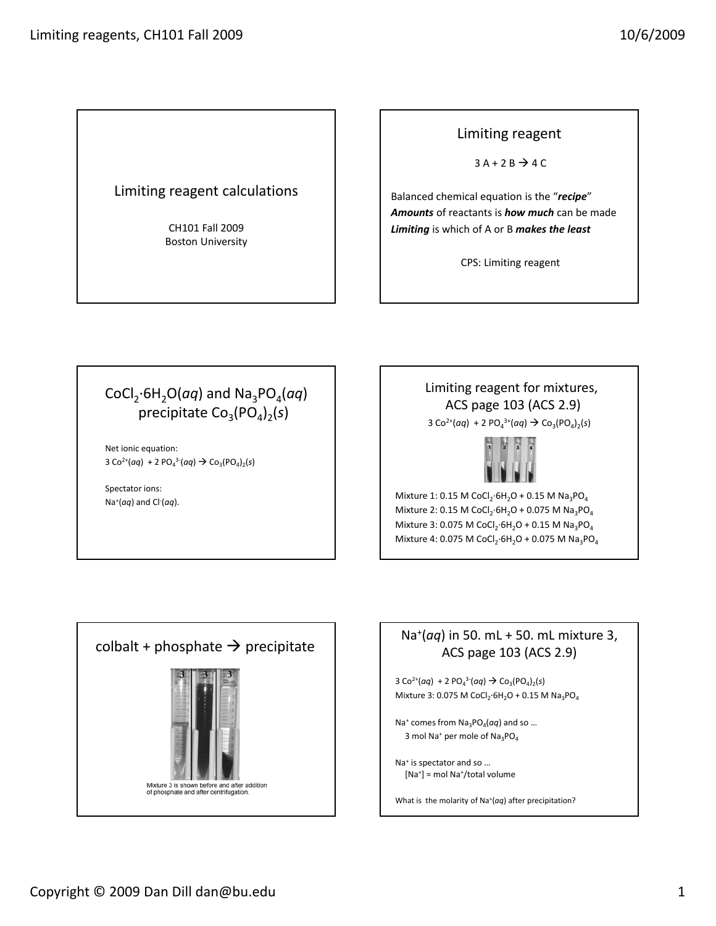### Limiting reagent calculations

CH101 Fall 2009 Boston University

#### Limiting reagent

 $3A + 2B \rightarrow 4C$ 

Balanced chemical equation is the "*recipe*" *Amounts* of reactants is *how much* can be made *Limiting* is which of A or B *makes the least*

CPS: Limiting reagent

# CoCl<sub>2</sub>⋅6H<sub>2</sub>O(*aq*) and Na<sub>3</sub>PO<sub>4</sub>(*aq*) precipitate Co<sub>3</sub>(PO<sub>4</sub>)<sub>2</sub>(s)

Net ionic equation:  $3 \text{Co}^{2+}(aq) + 2 \text{PO}_4^{3-}(aq) \rightarrow \text{Co}_3(\text{PO}_4)_2(s)$ 

Spectator ions: Na+(*aq*) and Cl‐ (*aq*).

# Limiting reagent for mixtures, ACS page 103 (ACS 2.9)

 $3 \text{Co}^{2+}(aq) + 2 \text{PO}_4^{3+}(aq) \rightarrow \text{Co}_3(\text{PO}_4)_2(\text{s})$ 



Mixture 1: 0.15 M CoCl<sub>2</sub>⋅6H<sub>2</sub>O + 0.15 M Na<sub>3</sub>PO<sub>4</sub> Mixture 2: 0.15 M CoCl<sub>2</sub>⋅6H<sub>2</sub>O + 0.075 M Na<sub>3</sub>PO<sub>4</sub> Mixture 3: 0.075 M CoCl<sub>2</sub>⋅6H<sub>2</sub>O + 0.15 M Na<sub>3</sub>PO<sub>4</sub> Mixture 4: 0.075 M CoCl<sub>2</sub>⋅6H<sub>2</sub>O + 0.075 M Na<sub>3</sub>PO<sub>4</sub>



## Na+(*aq*) in 50. mL + 50. mL mixture 3, ACS page 103 (ACS 2.9)

 $3 \text{Co}^{2+}(aq) + 2 \text{PO}_4^3(aq) \rightarrow \text{Co}_3(\text{PO}_4)_2(s)$ Mixture 3: 0.075 M CoCl<sub>2</sub>⋅6H<sub>2</sub>O + 0.15 M Na<sub>3</sub>PO<sub>4</sub>

 $Na<sup>+</sup>$  comes from  $Na<sub>2</sub>PO<sub>4</sub>(aq)$  and so ... 3 mol Na<sup>+</sup> per mole of Na<sub>3</sub>PO<sub>4</sub>

Na+ is spectator and so … [Na+] = mol Na+/total volume

What is the molarity of Na+(*aq*) after precipitation?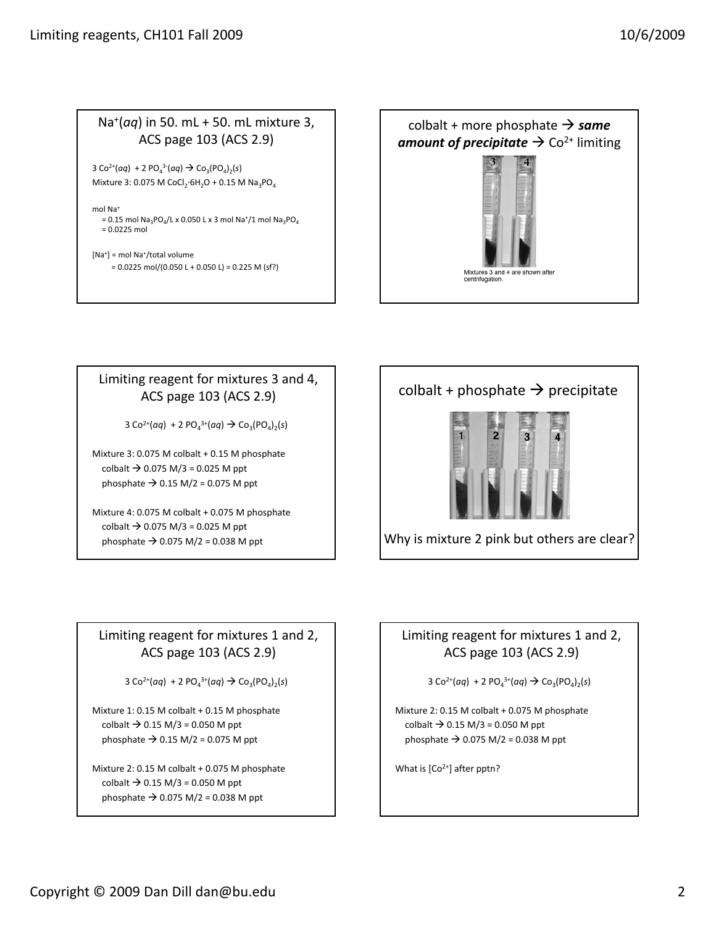### Na+(*aq*) in 50. mL + 50. mL mixture 3, ACS page 103 (ACS 2.9)

 $3 \text{Co}^{2+}(aq) + 2 \text{PO}_4^{3-}(aq) \rightarrow \text{Co}_3(\text{PO}_4)_2(s)$ Mixture 3: 0.075 M CoCl<sub>2</sub>⋅6H<sub>2</sub>O + 0.15 M Na<sub>3</sub>PO<sub>4</sub>

mol Na<sup>+</sup> = 0.15 mol Na<sub>3</sub>PO<sub>4</sub>/L x 0.050 L x 3 mol Na<sup>+</sup>/1 mol Na<sub>3</sub>PO<sub>4</sub>  $= 0.0225$  mol

```
[Na+] = mol Na+/total volume
     = 0.0225 mol/(0.050 L + 0.050 L) = 0.225 M (sf?)
```


#### Limiting reagent for mixtures 3 and 4, ACS page 103 (ACS 2.9)

 $3 \text{Co}^{2+}(aq) + 2 \text{PO}_4^{3+}(aq) \rightarrow \text{Co}_3(\text{PO}_4)_2(\text{s})$ 

Mixture 3: 0.075 M colbalt + 0.15 M phosphate colbalt  $\rightarrow$  0.075 M/3 = 0.025 M ppt phosphate  $\rightarrow$  0.15 M/2 = 0.075 M ppt

Mixture 4: 0.075 M colbalt + 0.075 M phosphate colbalt  $\rightarrow$  0.075 M/3 = 0.025 M ppt phosphate  $\rightarrow$  0.075 M/2 = 0.038 M ppt

# colbalt + phosphate  $\rightarrow$  precipitate



Why is mixture 2 pink but others are clear?

## Limiting reagent for mixtures 1 and 2, ACS page 103 (ACS 2.9)

 $3 \text{Co}^{2+}(aq) + 2 \text{PO}_4^{3+}(aq) \rightarrow \text{Co}_3(\text{PO}_4)_2(\text{s})$ 

Mixture 1: 0.15 M colbalt + 0.15 M phosphate colbalt  $\rightarrow$  0.15 M/3 = 0.050 M ppt phosphate  $\rightarrow$  0.15 M/2 = 0.075 M ppt

Mixture 2: 0.15 M colbalt + 0.075 M phosphate  $\text{colbalt} \to 0.15 \text{ M} / 3 = 0.050 \text{ M} \text{ ppt}$ phosphate  $\rightarrow$  0.075 M/2 = 0.038 M ppt

## Limiting reagent for mixtures 1 and 2, ACS page 103 (ACS 2.9)

 $3 \text{Co}^{2+}(aq) + 2 \text{PO}_4^{3+}(aq) \rightarrow \text{Co}_3(\text{PO}_4)_2(\text{s})$ 

Mixture 2: 0.15 M colbalt + 0.075 M phosphate colbalt  $\rightarrow$  0.15 M/3 = 0.050 M ppt phosphate  $\rightarrow$  0.075 M/2 = 0.038 M ppt

What is [Co<sup>2+</sup>] after pptn?